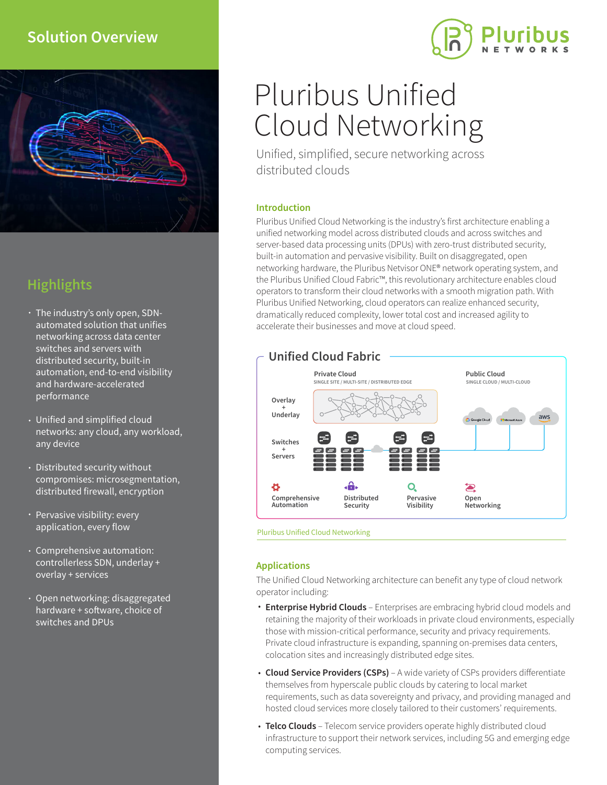# **Solution Overview**



# **Highlights**

- The industry's only open, SDNautomated solution that unifies networking across data center switches and servers with distributed security, built-in automation, end-to-end visibility and hardware-accelerated performance
- Unified and simplified cloud networks: any cloud, any workload, any device
- Distributed security without compromises: microsegmentation, distributed firewall, encryption
- Pervasive visibility: every application, every flow
- Comprehensive automation: controllerless SDN, underlay + overlay + services
- Open networking: disaggregated hardware + software, choice of switches and DPUs

# Pluribus Unified Cloud Networking

Unified, simplified, secure networking across distributed clouds

## **Introduction**

Pluribus Unified Cloud Networking is the industry's first architecture enabling a unified networking model across distributed clouds and across switches and server-based data processing units (DPUs) with zero-trust distributed security, built-in automation and pervasive visibility. Built on disaggregated, open networking hardware, the Pluribus Netvisor ONE® network operating system, and the Pluribus Unified Cloud Fabric™, this revolutionary architecture enables cloud operators to transform their cloud networks with a smooth migration path. With Pluribus Unified Networking, cloud operators can realize enhanced security, dramatically reduced complexity, lower total cost and increased agility to accelerate their businesses and move at cloud speed.



Pluribus Unified Cloud Networking

## **Applications**

The Unified Cloud Networking architecture can benefit any type of cloud network operator including:

- **Enterprise Hybrid Clouds** Enterprises are embracing hybrid cloud models and retaining the majority of their workloads in private cloud environments, especially those with mission-critical performance, security and privacy requirements. Private cloud infrastructure is expanding, spanning on-premises data centers, colocation sites and increasingly distributed edge sites.
- Cloud Service Providers (CSPs) A wide variety of CSPs providers differentiate themselves from hyperscale public clouds by catering to local market requirements, such as data sovereignty and privacy, and providing managed and hosted cloud services more closely tailored to their customers' requirements.
- **Telco Clouds** Telecom service providers operate highly distributed cloud infrastructure to support their network services, including 5G and emerging edge computing services.

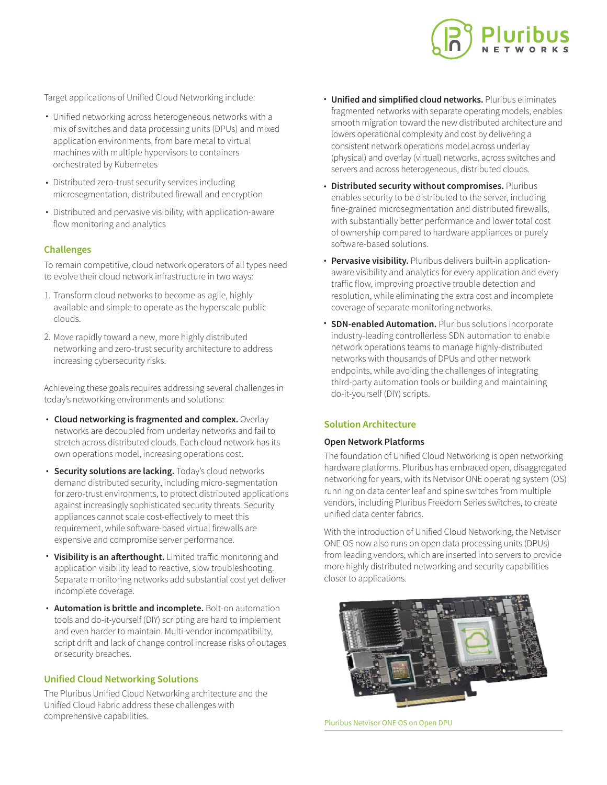

Target applications of Unified Cloud Networking include:

- Unified networking across heterogeneous networks with a mix of switches and data processing units (DPUs) and mixed application environments, from bare metal to virtual machines with multiple hypervisors to containers orchestrated by Kubernetes
- Distributed zero-trust security services including microsegmentation, distributed firewall and encryption
- Distributed and pervasive visibility, with application-aware flow monitoring and analytics

## **Challenges**

To remain competitive, cloud network operators of all types need to evolve their cloud network infrastructure in two ways:

- 1. Transform cloud networks to become as agile, highly available and simple to operate as the hyperscale public clouds.
- 2. Move rapidly toward a new, more highly distributed networking and zero-trust security architecture to address increasing cybersecurity risks.

Achieveing these goals requires addressing several challenges in today's networking environments and solutions:

- **Cloud networking is fragmented and complex.** Overlay networks are decoupled from underlay networks and fail to stretch across distributed clouds. Each cloud network has its own operations model, increasing operations cost.
- **· Security solutions are lacking.** Today's cloud networks demand distributed security, including micro-segmentation for zero-trust environments, to protect distributed applications against increasingly sophisticated security threats. Security appliances cannot scale cost-effectively to meet this requirement, while software-based virtual firewalls are expensive and compromise server performance.
- **Visibility is an afterthought.** Limited traffic monitoring and application visibility lead to reactive, slow troubleshooting. Separate monitoring networks add substantial cost yet deliver incomplete coverage. •
- **Automation is brittle and incomplete.** Bolt-on automation tools and do-it-yourself (DIY) scripting are hard to implement and even harder to maintain. Multi-vendor incompatibility, script drift and lack of change control increase risks of outages or security breaches.

#### **Unified Cloud Networking Solutions**

The Pluribus Unified Cloud Networking architecture and the Unified Cloud Fabric address these challenges with comprehensive capabilities.

- **Unified and simplified cloud networks.** Pluribus eliminates fragmented networks with separate operating models, enables smooth migration toward the new distributed architecture and lowers operational complexity and cost by delivering a consistent network operations model across underlay (physical) and overlay (virtual) networks, across switches and servers and across heterogeneous, distributed clouds.
- **Distributed security without compromises.** Pluribus enables security to be distributed to the server, including fine-grained microsegmentation and distributed firewalls, with substantially better performance and lower total cost of ownership compared to hardware appliances or purely software-based solutions.
- **Pervasive visibility.** Pluribus delivers built-in applicationaware visibility and analytics for every application and every traffic flow, improving proactive trouble detection and resolution, while eliminating the extra cost and incomplete coverage of separate monitoring networks. •
- **SDN-enabled Automation.** Pluribus solutions incorporate industry-leading controllerless SDN automation to enable network operations teams to manage highly-distributed networks with thousands of DPUs and other network endpoints, while avoiding the challenges of integrating third-party automation tools or building and maintaining do-it-yourself (DIY) scripts. •

#### **Solution Architecture**

#### **Open Network Platforms**

The foundation of Unified Cloud Networking is open networking hardware platforms. Pluribus has embraced open, disaggregated networking for years, with its Netvisor ONE operating system (OS) running on data center leaf and spine switches from multiple vendors, including Pluribus Freedom Series switches, to create unified data center fabrics.

With the introduction of Unified Cloud Networking, the Netvisor ONE OS now also runs on open data processing units (DPUs) from leading vendors, which are inserted into servers to provide more highly distributed networking and security capabilities closer to applications.



Pluribus Netvisor ONE OS on Open DPU